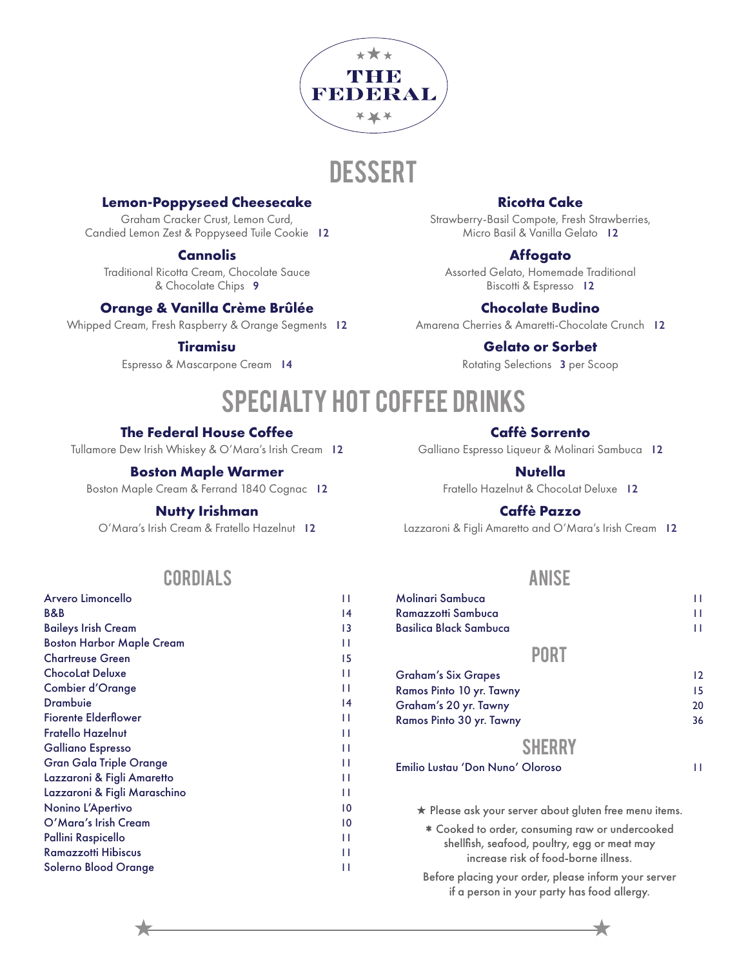

## **DESSERT**

#### **Lemon-Poppyseed Cheesecake**

Graham Cracker Crust, Lemon Curd, Candied Lemon Zest & Poppyseed Tuile Cookie **12**

#### **Cannolis**

Traditional Ricotta Cream, Chocolate Sauce & Chocolate Chips **9**

#### **Orange & Vanilla Crème Brûlée**

Whipped Cream, Fresh Raspberry & Orange Segments **12**

#### **Tiramisu**

Espresso & Mascarpone Cream **14**

#### **Ricotta Cake**

Strawberry-Basil Compote, Fresh Strawberries, Micro Basil & Vanilla Gelato **12**

#### **Affogato**

Assorted Gelato, Homemade Traditional Biscotti & Espresso **12**

#### **Chocolate Budino**

Amarena Cherries & Amaretti-Chocolate Crunch **12**

#### **Gelato or Sorbet**

Rotating Selections **3** per Scoop

# Specialty hot coffee drinks

#### **The Federal House Coffee**

Tullamore Dew Irish Whiskey & O'Mara's Irish Cream **12**

#### **Boston Maple Warmer**

Boston Maple Cream & Ferrand 1840 Cognac **12**

#### **Nutty Irishman**

O'Mara's Irish Cream & Fratello Hazelnut **12**

#### **Caffè Sorrento**

Galliano Espresso Liqueur & Molinari Sambuca **12**

#### **Nutella**

Fratello Hazelnut & ChocoLat Deluxe **12**

#### **Caffè Pazzo**

Lazzaroni & Figli Amaretto and O'Mara's Irish Cream **12**

### **CORDIALS**

| Arvero Limoncello                | П  |
|----------------------------------|----|
| B&B                              | 14 |
| <b>Baileys Irish Cream</b>       | 13 |
| <b>Boston Harbor Maple Cream</b> | П  |
| <b>Chartreuse Green</b>          | 15 |
| <b>ChocoLat Deluxe</b>           | П  |
| Combier d'Orange                 | П  |
| <b>Drambuie</b>                  | 14 |
| <b>Fiorente Elderflower</b>      | П  |
| <b>Fratello Hazelnut</b>         | П  |
| Galliano Espresso                | П  |
| Gran Gala Triple Orange          | П  |
| Lazzaroni & Figli Amaretto       | П  |
| Lazzaroni & Figli Maraschino     | П  |
| Nonino L'Apertivo                | 10 |
| O'Mara's Irish Cream             | 10 |
| Pallini Raspicello               | П  |
| <b>Ramazzotti Hibiscus</b>       | П  |
| Solerno Blood Orange             | Н  |

#### **ANISF**

| Molinari Sambuca                                       | П  |
|--------------------------------------------------------|----|
| Ramazzotti Sambuca                                     | П  |
| Basilica Black Sambuca                                 | П  |
| PORT                                                   |    |
| <b>Graham's Six Grapes</b>                             | 12 |
| Ramos Pinto 10 yr. Tawny                               | 15 |
| Graham's 20 yr. Tawny                                  | 20 |
| <b>Ramos Pinto 30 yr. Tawny</b>                        | 36 |
| SHERRY                                                 |    |
| Emilio Lustau 'Don Nuno' Oloroso                       | П  |
|                                                        |    |
| ★ Please ask your server about gluten free menu items. |    |
| * Cooked to order, consuming raw or undercooked        |    |

**\*** Cooked to order, consuming raw or undercooked shellfish, seafood, poultry, egg or meat may increase risk of food-borne illness.

Before placing your order, please inform your server if a person in your party has food allergy.